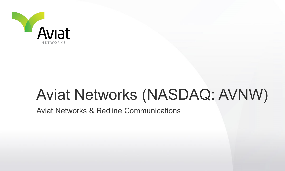

## Aviat Networks (NASDAQ: AVNW)

Aviat Networks & Redline Communications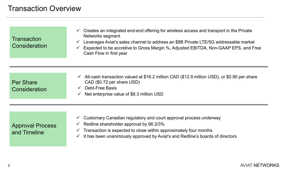| Transaction   |
|---------------|
| Consideration |

- $\checkmark$  Creates an integrated end-end offering for wireless access and transport in the Private Networks segment
- Leverages Aviat's sales channel to address an \$8B Private LTE/5G addressable market
- $\checkmark$  Expected to be accretive to Gross Margin %, Adjusted EBITDA, Non-GAAP EPS, and Free Cash Flow in first year

| <b>Per Share</b> |
|------------------|
| Consideration    |

- $\checkmark$  All-cash transaction valued at \$16.2 million CAD (\$12.9 million USD), or \$0.90 per share CAD (\$0.72 per share USD)
- $\checkmark$  Debt-Free Basis
- $\checkmark$  Net enterprise value of \$8.3 million USD

## Approval Process and Timeline

- $\checkmark$  Customary Canadian regulatory and court approval process underway
- $\checkmark$  Redline shareholder approval by 66 2/3%
- $\checkmark$  Transaction is expected to close within approximately four months
- $\checkmark$  It has been unanimously approved by Aviat's and Redline's boards of directors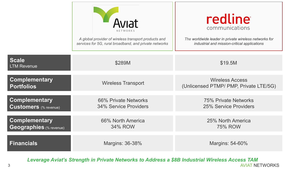|                                                      | A global provider of wireless transport products and<br>services for 5G, rural broadband, and private networks | redline<br>communications<br>The worldwide leader in private wireless networks for<br>industrial and mission-critical applications |
|------------------------------------------------------|----------------------------------------------------------------------------------------------------------------|------------------------------------------------------------------------------------------------------------------------------------|
| Scale<br><b>LTM Revenue</b>                          | \$289M                                                                                                         | \$19.5M                                                                                                                            |
| <b>Complementary</b><br><b>Portfolios</b>            | <b>Wireless Transport</b>                                                                                      | <b>Wireless Access</b><br>(Unlicensed PTMP/ PMP, Private LTE/5G)                                                                   |
| <b>Complementary</b><br><b>Customers</b> (% revenue) | 66% Private Networks<br><b>34% Service Providers</b>                                                           | 75% Private Networks<br>25% Service Providers                                                                                      |
| <b>Complementary</b><br>Geographies (% revenue)      | 66% North America<br>34% ROW                                                                                   | 25% North America<br><b>75% ROW</b>                                                                                                |
| <b>Financials</b>                                    | Margins: 36-38%                                                                                                | Margins: 54-60%                                                                                                                    |

AVIAT NETWORKS *Leverage Aviat's Strength in Private Networks to Address a \$8B Industrial Wireless Access TAM*